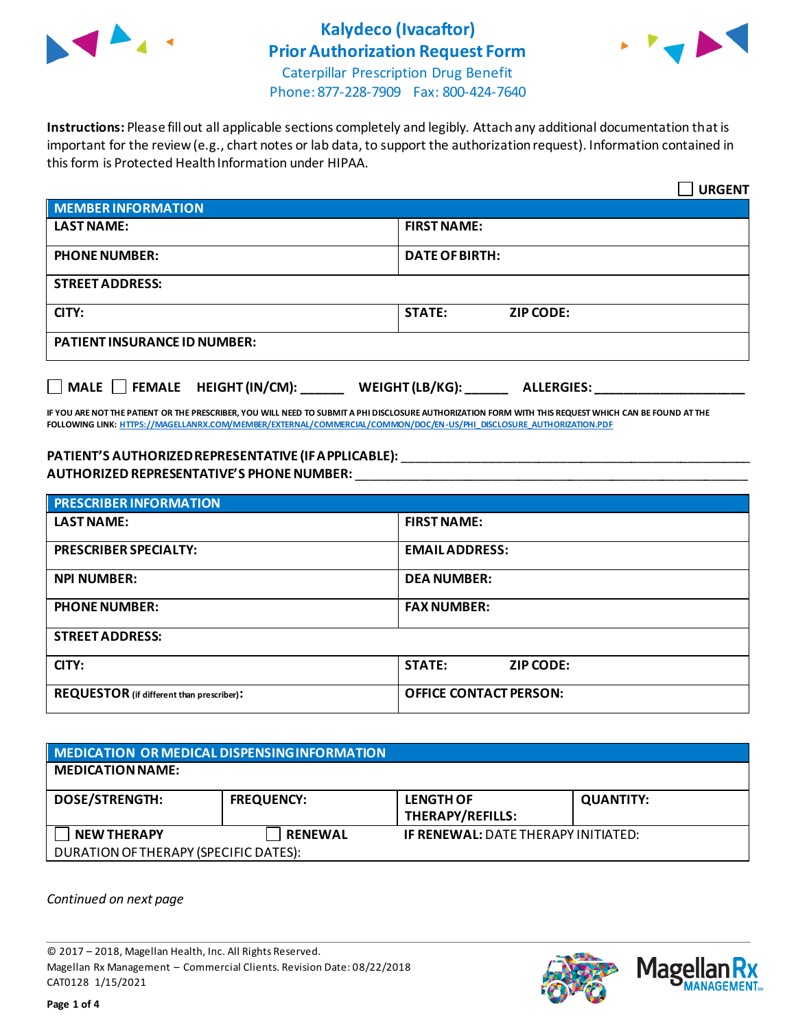

# **Kalydeco (Ivacaftor) Prior Authorization Request Form**



Caterpillar Prescription Drug Benefit Phone: 877-228-7909 Fax: 800-424-7640

**Instructions:** Please fill out all applicable sections completely and legibly. Attach any additional documentation that is important for the review (e.g., chart notes or lab data, to support the authorization request). Information contained in this form is Protected Health Information under HIPAA.

|                                           | <b>URGENT</b>                        |
|-------------------------------------------|--------------------------------------|
| <b>MEMBER INFORMATION</b>                 |                                      |
| <b>LAST NAME:</b>                         | <b>FIRST NAME:</b>                   |
| <b>PHONE NUMBER:</b>                      | <b>DATE OF BIRTH:</b>                |
| <b>STREET ADDRESS:</b>                    |                                      |
| CITY:                                     | <b>STATE:</b><br><b>ZIP CODE:</b>    |
| <b>PATIENT INSURANCE ID NUMBER:</b>       |                                      |
| $\Box$ MALE $\Box$ FEMALE HEIGHT (IN/CM): | WEIGHT (LB/KG):<br><b>ALLERGIES:</b> |

**IF YOU ARE NOT THE PATIENT OR THE PRESCRIBER, YOU WILL NEED TO SUBMIT A PHI DISCLOSURE AUTHORIZATION FORM WITH THIS REQUEST WHICH CAN BE FOUND AT THE FOLLOWING LINK[: HTTPS://MAGELLANRX.COM/MEMBER/EXTERNAL/COMMERCIAL/COMMON/DOC/EN-US/PHI\\_DISCLOSURE\\_AUTHORIZATION.PDF](https://magellanrx.com/member/external/commercial/common/doc/en-us/PHI_Disclosure_Authorization.pdf)**

### **PATIENT'S AUTHORIZED REPRESENTATIVE (IF APPLICABLE):** \_\_\_\_\_\_\_\_\_\_\_\_\_\_\_\_\_\_\_\_\_\_\_\_\_\_\_\_\_\_\_\_\_\_\_\_\_\_\_\_\_\_\_\_\_\_\_\_\_ **AUTHORIZED REPRESENTATIVE'S PHONE NUMBER:** \_\_\_\_\_\_\_\_\_\_\_\_\_\_\_\_\_\_\_\_\_\_\_\_\_\_\_\_\_\_\_\_\_\_\_\_\_\_\_\_\_\_\_\_\_\_\_\_\_\_\_\_\_\_\_

| <b>PRESCRIBER INFORMATION</b>             |                               |  |
|-------------------------------------------|-------------------------------|--|
| <b>LAST NAME:</b>                         | <b>FIRST NAME:</b>            |  |
| <b>PRESCRIBER SPECIALTY:</b>              | <b>EMAIL ADDRESS:</b>         |  |
| <b>NPI NUMBER:</b>                        | <b>DEA NUMBER:</b>            |  |
| <b>PHONE NUMBER:</b>                      | <b>FAX NUMBER:</b>            |  |
| <b>STREET ADDRESS:</b>                    |                               |  |
| CITY:                                     | <b>STATE:</b><br>ZIP CODE:    |  |
| REQUESTOR (if different than prescriber): | <b>OFFICE CONTACT PERSON:</b> |  |

| MEDICATION OR MEDICAL DISPENSING INFORMATION |                   |                                             |                  |  |
|----------------------------------------------|-------------------|---------------------------------------------|------------------|--|
| <b>MEDICATION NAME:</b>                      |                   |                                             |                  |  |
| <b>DOSE/STRENGTH:</b>                        | <b>FREQUENCY:</b> | <b>LENGTH OF</b><br><b>THERAPY/REFILLS:</b> | <b>QUANTITY:</b> |  |
| <b>NEW THERAPY</b>                           | <b>RENEWAL</b>    | <b>IF RENEWAL: DATE THERAPY INITIATED:</b>  |                  |  |
| DURATION OF THERAPY (SPECIFIC DATES):        |                   |                                             |                  |  |

*Continued on next page*

© 2017 – 2018, Magellan Health, Inc. All Rights Reserved. Magellan Rx Management – Commercial Clients. Revision Date: 08/22/2018 CAT0128 1/15/2021



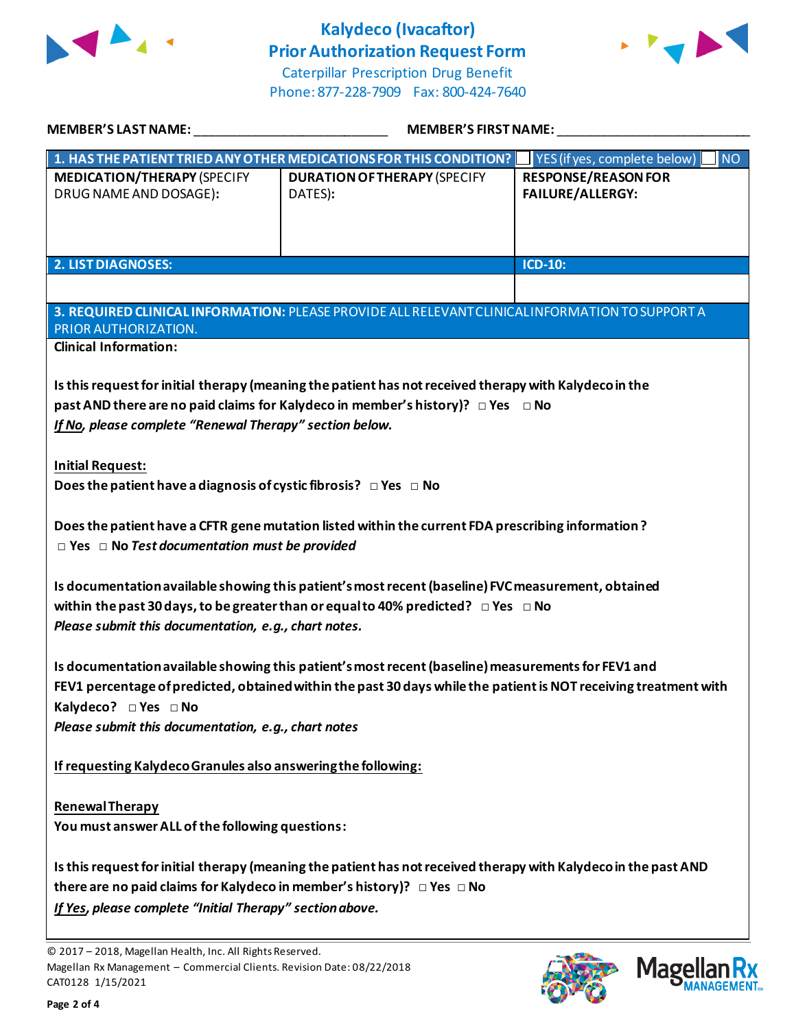

# **Kalydeco (Ivacaftor) Prior Authorization Request Form**



Caterpillar Prescription Drug Benefit Phone: 877-228-7909 Fax: 800-424-7640

| MEMBER'S LAST NAME:                                                                                                                                                                                                                                                                                   | <b>MEMBER'S FIRST NAME:</b>                                                                                                                                                               |                                                       |  |  |
|-------------------------------------------------------------------------------------------------------------------------------------------------------------------------------------------------------------------------------------------------------------------------------------------------------|-------------------------------------------------------------------------------------------------------------------------------------------------------------------------------------------|-------------------------------------------------------|--|--|
|                                                                                                                                                                                                                                                                                                       | 1. HAS THE PATIENT TRIED ANY OTHER MEDICATIONS FOR THIS CONDITION?                                                                                                                        | <b>NO</b><br>YES (if yes, complete below)             |  |  |
| <b>MEDICATION/THERAPY (SPECIFY</b><br>DRUG NAME AND DOSAGE):                                                                                                                                                                                                                                          | <b>DURATION OF THERAPY (SPECIFY</b><br>DATES):                                                                                                                                            | <b>RESPONSE/REASON FOR</b><br><b>FAILURE/ALLERGY:</b> |  |  |
| <b>2. LIST DIAGNOSES:</b>                                                                                                                                                                                                                                                                             |                                                                                                                                                                                           | ICD-10:                                               |  |  |
|                                                                                                                                                                                                                                                                                                       |                                                                                                                                                                                           |                                                       |  |  |
| PRIOR AUTHORIZATION.                                                                                                                                                                                                                                                                                  | 3. REQUIRED CLINICAL INFORMATION: PLEASE PROVIDE ALL RELEVANT CLINICAL INFORMATION TO SUPPORT A                                                                                           |                                                       |  |  |
| <b>Clinical Information:</b>                                                                                                                                                                                                                                                                          |                                                                                                                                                                                           |                                                       |  |  |
| If No, please complete "Renewal Therapy" section below.                                                                                                                                                                                                                                               | Is this request for initial therapy (meaning the patient has not received therapy with Kalydeco in the<br>past AND there are no paid claims for Kalydeco in member's history)? □ Yes □ No |                                                       |  |  |
| <b>Initial Request:</b>                                                                                                                                                                                                                                                                               |                                                                                                                                                                                           |                                                       |  |  |
| Does the patient have a diagnosis of cystic fibrosis? $\Box$ Yes $\Box$ No                                                                                                                                                                                                                            |                                                                                                                                                                                           |                                                       |  |  |
| Does the patient have a CFTR gene mutation listed within the current FDA prescribing information?<br>$\Box$ Yes $\Box$ No Test documentation must be provided<br>Is documentation available showing this patient's most recent (baseline) FVC measurement, obtained                                   |                                                                                                                                                                                           |                                                       |  |  |
|                                                                                                                                                                                                                                                                                                       | within the past 30 days, to be greater than or equal to 40% predicted? $\Box$ Yes $\Box$ No                                                                                               |                                                       |  |  |
| Please submit this documentation, e.g., chart notes.                                                                                                                                                                                                                                                  |                                                                                                                                                                                           |                                                       |  |  |
| Is documentation available showing this patient's most recent (baseline) measurements for FEV1 and<br>FEV1 percentage of predicted, obtained within the past 30 days while the patient is NOT receiving treatment with<br>Kalydeco? □ Yes □ No<br>Please submit this documentation, e.g., chart notes |                                                                                                                                                                                           |                                                       |  |  |
| If requesting Kalydeco Granules also answering the following:                                                                                                                                                                                                                                         |                                                                                                                                                                                           |                                                       |  |  |
| <b>Renewal Therapy</b><br>You must answer ALL of the following questions:                                                                                                                                                                                                                             |                                                                                                                                                                                           |                                                       |  |  |
| Is this request for initial therapy (meaning the patient has not received therapy with Kalydeco in the past AND<br>there are no paid claims for Kalydeco in member's history)? $\Box$ Yes $\Box$ No<br>If Yes, please complete "Initial Therapy" section above.                                       |                                                                                                                                                                                           |                                                       |  |  |

© 2017 – 2018, Magellan Health, Inc. All Rights Reserved. Magellan Rx Management – Commercial Clients. Revision Date: 08/22/2018 CAT0128 1/15/2021



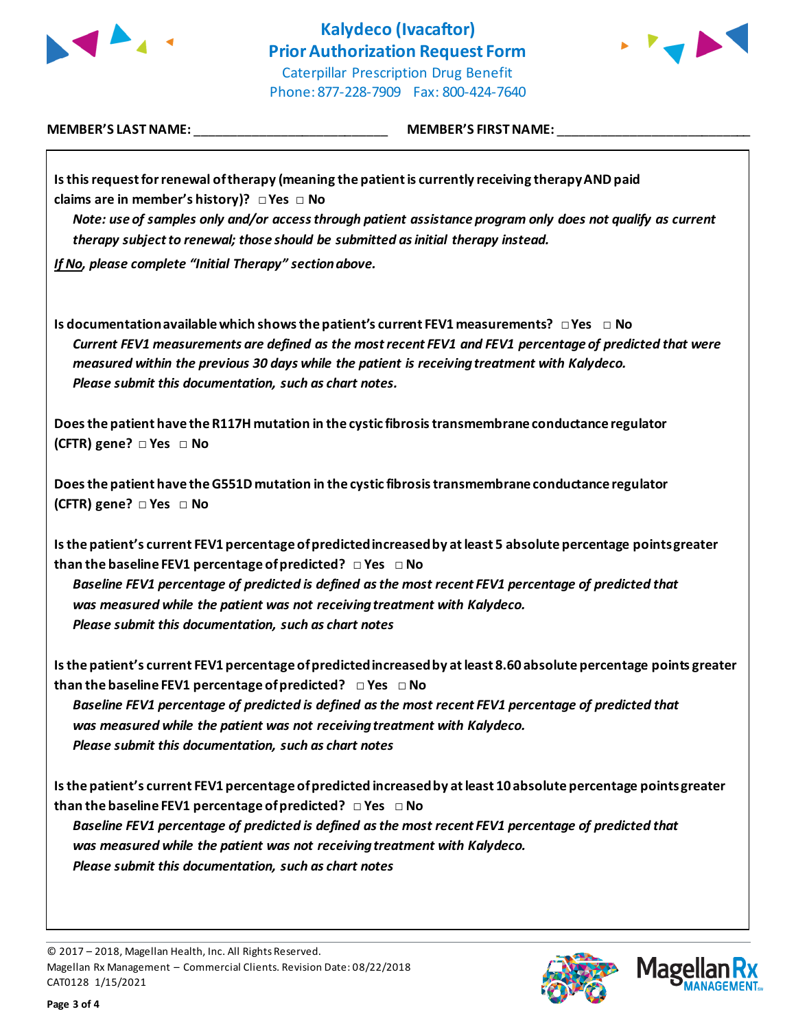



**MEMBER'S LAST NAME:** \_\_\_\_\_\_\_\_\_\_\_\_\_\_\_\_\_\_\_\_\_\_\_\_\_\_\_ **MEMBER'S FIRST NAME:** \_\_\_\_\_\_\_\_\_\_\_\_\_\_\_\_\_\_\_\_\_\_\_\_\_\_\_

| Is this request for renewal of therapy (meaning the patient is currently receiving therapy AND paid                                                                                                                                                                                                                                                                        |
|----------------------------------------------------------------------------------------------------------------------------------------------------------------------------------------------------------------------------------------------------------------------------------------------------------------------------------------------------------------------------|
| claims are in member's history)? $\Box$ Yes $\Box$ No<br>Note: use of samples only and/or access through patient assistance program only does not qualify as current                                                                                                                                                                                                       |
|                                                                                                                                                                                                                                                                                                                                                                            |
| therapy subject to renewal; those should be submitted as initial therapy instead.                                                                                                                                                                                                                                                                                          |
| If No, please complete "Initial Therapy" section above.                                                                                                                                                                                                                                                                                                                    |
| Is documentation available which shows the patient's current FEV1 measurements? $\Box$ Yes $\Box$ No<br>Current FEV1 measurements are defined as the most recent FEV1 and FEV1 percentage of predicted that were<br>measured within the previous 30 days while the patient is receiving treatment with Kalydeco.<br>Please submit this documentation, such as chart notes. |
| Does the patient have the R117H mutation in the cystic fibrosis transmembrane conductance regulator<br>(CFTR) gene? □ Yes □ No                                                                                                                                                                                                                                             |
| Does the patient have the G551D mutation in the cystic fibrosis transmembrane conductance regulator<br>(CFTR) gene? □ Yes □ No                                                                                                                                                                                                                                             |
| Is the patient's current FEV1 percentage of predicted increased by at least 5 absolute percentage points greater                                                                                                                                                                                                                                                           |
| than the baseline FEV1 percentage of predicted? $\Box$ Yes $\Box$ No                                                                                                                                                                                                                                                                                                       |
| Baseline FEV1 percentage of predicted is defined as the most recent FEV1 percentage of predicted that                                                                                                                                                                                                                                                                      |
| was measured while the patient was not receiving treatment with Kalydeco.                                                                                                                                                                                                                                                                                                  |
| Please submit this documentation, such as chart notes                                                                                                                                                                                                                                                                                                                      |
| Is the patient's current FEV1 percentage of predicted increased by at least 8.60 absolute percentage points greater<br>than the baseline FEV1 percentage of predicted? $\Box$ Yes $\Box$ No                                                                                                                                                                                |
| Baseline FEV1 percentage of predicted is defined as the most recent FEV1 percentage of predicted that                                                                                                                                                                                                                                                                      |
| was measured while the patient was not receiving treatment with Kalydeco.                                                                                                                                                                                                                                                                                                  |
| Please submit this documentation, such as chart notes                                                                                                                                                                                                                                                                                                                      |
| Is the patient's current FEV1 percentage of predicted increased by at least 10 absolute percentage points greater<br>than the baseline FEV1 percentage of predicted? $\Box$ Yes $\Box$ No                                                                                                                                                                                  |
| Baseline FEV1 percentage of predicted is defined as the most recent FEV1 percentage of predicted that<br>was measured while the patient was not receiving treatment with Kalydeco.                                                                                                                                                                                         |
| Please submit this documentation, such as chart notes                                                                                                                                                                                                                                                                                                                      |
|                                                                                                                                                                                                                                                                                                                                                                            |
| © 2017 - 2018, Magellan Health, Inc. All Rights Reserved.                                                                                                                                                                                                                                                                                                                  |
| <b>Magellan</b><br>Magellan Rx Management - Commercial Clients. Revision Date: 08/22/2018<br>CAT0128 1/15/2021                                                                                                                                                                                                                                                             |

CAT0128 1/15/2021



**MANAGEMENT**<sub>SM</sub>